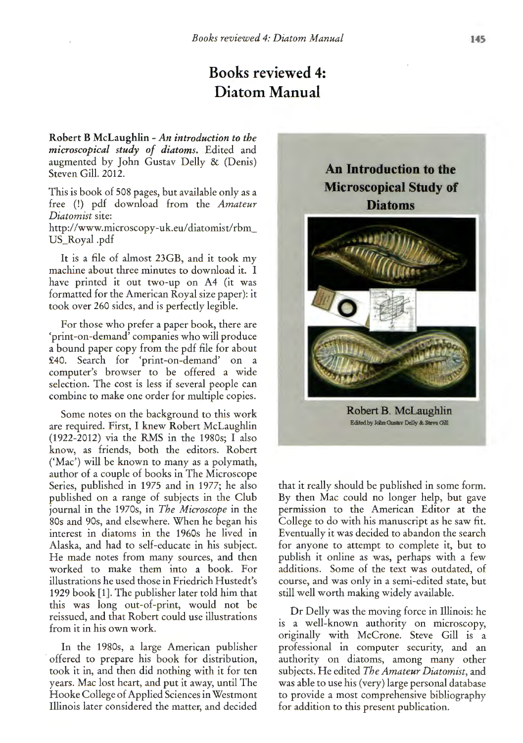## **Books reviewed 4: Diatom Manual**

**Robert B McLaughlin-** *An introduction to the microscopical study of diatoms.* Edited and augmented by John Gustav Delly & (Denis) Steven Gill. 2012.

This is book of 508 pages, but available only as a free (!) pdf download from the *Amateur Diatomist* site: http://www.microscopy-uk.eu/diatomist/rbm\_ US\_Royal .pdf

It is a file of almost 23GB, and it took my machine about three minutes to download it. I have printed it out two-up on A4 (it was formatted for the American Royal size paper): it took over 260 sides, and is perfectly legible.

For those who prefer a paper book, there are 'print-on-demand' companies who will produce a bound paper copy from the pdf file for about £40. Search for 'print-on-demand' on a computer's browser to be offered a wide selection. The cost is less if several people can combine to make one order for multiple copies.

Some notes on the background to this work are required. First, I knew Robert McLaughlin (1922-2012) via the RMS in the 1980s; I also know, as friends, both the editors. Robert ('Mac') will be known to many as a polymath, author of a couple of books in The Microscope Series, published in 1975 and in 1977; he also published on a range of subjects in the Club journal in the 1970s, in *The Microscope* in the 80s and 90s, and elsewhere. When he began his interest in diatoms in the 1960s he lived in Alaska, and had to self-educate in his subject. He made notes from many sources, and then worked to make them into a book. For illustrations he used those in Friedrich Hustedt's 1929 book [1]. The publisher later told him that this was long out-of-print, would not be reissued, and that Robert could use illustrations from it in his own work.

In the 1980s, a large American publisher offered to prepare his book for distribution, took it in, and then did nothing with it for ten years. Mac lost heart, and put it away, until The Hooke College of Applied Sciences in Westmont Illinois later considered the matter, and decided

**An Introduction to the Microscopical Study of Diatoms** 



**Robert B. McLaughlin** Edited by Jdm Gustav Delly & Sieve Gill

that it really should be published in some form. By then Mac could no longer help, but gave permission to the American Editor at the College to do with his manuscript as he saw fit. Eventually it was decided to abandon the search for anyone to attempt to complete it, but to publish it online as was, perhaps with a few additions. Some of the text was outdated, of course, and was only in a semi-edited state, but still well worth making widely available.

Dr Delly was the moving force in Illinois: he is a well-known authority on microscopy, originally with McCrone. Steve Gill is a professional in computer security, and an authority on diatoms, among many other subjects. He edited *The Amateur Diatomist,* and was able to use his (very) large personal database to provide a most comprehensive bibliography for addition to this present publication.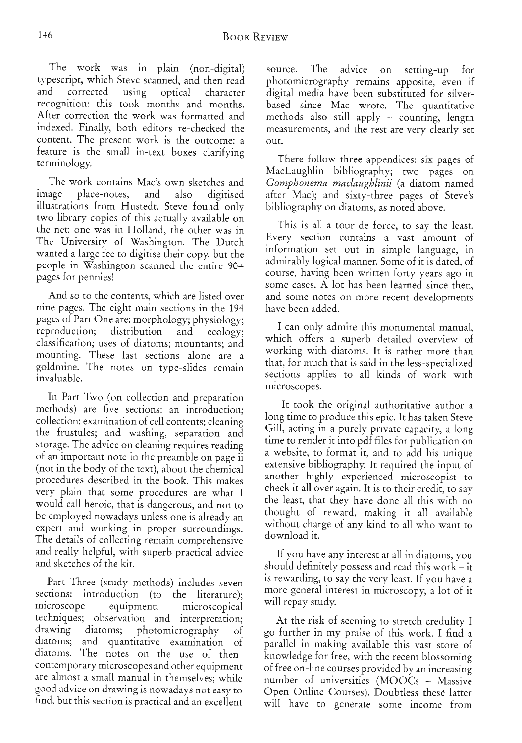The work was in plain (non-digital) typescript, which Steve scanned, and then read <sup>a</sup>nd corrected using optical character recognition: this took months and months. After correction the work was formatted and indexed. Finally, both editors re-checked the content. The present work is the outcome: a feature is the small in-text boxes clarifying terminology.

The work contains Mac's own sketches and image place-notes, and also digitised illustrations from Hustedt. Steve found only two library copies of this actually available on the net: one was in Holland, the other was in The University of Washington. The Dutch wanted a large fee to digitise their copy, but the people in Washington scanned the entire 90+ pages for pennies!

And so to the contents, which are listed over nine pages. The eight main sections in the 194 pages of Part One are: morphology; physiology; reproduction; distribution and ecology; classification; uses of diatoms; mountants; and mounting. These last sections alone are a goldmine. The notes on type-slides remain invaluable.

In Part Two (on collection and preparation methods) are five sections: an introduction; collection; examination of cell contents; cleaning the frustules; and washing, separation and storage. The advice on cleaning requires reading of an important note in the preamble on page ii (not in the body of the text), about the chemical procedures described in the book. This makes very plain that some procedures are what I would call heroic, that is dangerous, and not to be employed nowadays unless one is already an expert and working in proper surroundings. The details of collecting remain comprehensive and really helpful, with superb practical advice <sup>a</sup>nd sketches of the kit.

Part Three (study methods) includes seven sections: introduction (to the literature); microscope equipment; microscopical techniques; observation and interpretation; drawing diatoms; photomicrography of diatoms; and quantitative examination of diatoms. The notes on the use of thencontemporary microscopes and other equipment are almost a small manual in themselves; while <> ood advice on drawing is nowadays not easy to find, but this section is practical and an excellent source. The advice on setting-up for <sup>p</sup>hotomicrography remains apposite, even if digital media have been substituted for silverbased since Mac wrote. The quantitative methods also still apply - counting, length measurements, and the rest are very clearly set out.

There follow three appendices: six pages of MacLaughlin bibliography; two pages on *Gomphonema maclaughlinii* (a diatom named after Mac); and sixty-three pages of Steve's bibliography on diatoms, as noted above.

This is all a tour de force, to say the least. Every section contains a vast amount of information set out in simple language, in admirably logical manner. Some of it is dated, of course, having been written forty years ago in some cases. A lot has been learned since then, and some notes on more recent developments have been added.

I can only admire this monumental manual, which offers a superb detailed overview of working with diatoms. It is rather more than that, for much that is said in the less-specialized sections applies to all kinds of work with microscopes.

It took the original authoritative author <sup>a</sup> long time to produce this epic. It has taken Steve Gill, acting in a purely private capacity, a long time to render it into pdf files for publication on a website, to format it, and to add his unique extensive bibliography. It required the input of another highly experienced microscopist to check it all over again. It is to their credit, to say the least, that they have done all this with no thought of reward, making it all available without charge of any kind to all who want to download it.

If you have any interest at all in diatoms, yo<sup>u</sup> should definitely possess and read this work- it is rewarding, to say the very least. If you have a more general interest in microscopy, a lot of it will repay study.

At the risk of seeming to stretch credulity I go further in my praise of this work. I find a parallel in making available this vast store of knowledge for free, with the recent blossoming of free on-line courses provided by an increasing number of universities (MOOCs - Massive Open Online Courses). Doubtless these latter will have to generate some income from